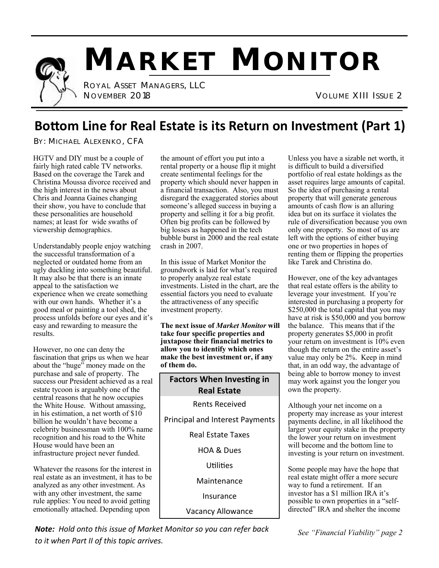

# **MARKET MONITOR**

 ROYAL ASSET MANAGERS, LLC NOVEMBER 2018 VOLUME XIII ISSUE 2

### **Bottom Line for Real Estate is its Return on Investment (Part 1)**

BY: MICHAEL ALEXENKO, CFA

HGTV and DIY must be a couple of fairly high rated cable TV networks. Based on the coverage the Tarek and Christina Moussa divorce received and the high interest in the news about Chris and Joanna Gaines changing their show, you have to conclude that these personalities are household names; at least for wide swaths of viewership demographics.

Understandably people enjoy watching the successful transformation of a neglected or outdated home from an ugly duckling into something beautiful. It may also be that there is an innate appeal to the satisfaction we experience when we create something with our own hands. Whether it's a good meal or painting a tool shed, the process unfolds before our eyes and it's easy and rewarding to measure the results.

However, no one can deny the fascination that grips us when we hear about the "huge" money made on the purchase and sale of property. The success our President achieved as a real estate tycoon is arguably one of the central reasons that he now occupies the White House. Without amassing, in his estimation, a net worth of \$10 billion he wouldn't have become a celebrity businessman with 100% name recognition and his road to the White House would have been an infrastructure project never funded.

Whatever the reasons for the interest in real estate as an investment, it has to be analyzed as any other investment. As with any other investment, the same rule applies: You need to avoid getting emotionally attached. Depending upon

the amount of effort you put into a rental property or a house flip it might create sentimental feelings for the property which should never happen in a financial transaction. Also, you must disregard the exaggerated stories about someone's alleged success in buying a property and selling it for a big profit. Often big profits can be followed by big losses as happened in the tech bubble burst in 2000 and the real estate crash in 2007.

In this issue of Market Monitor the groundwork is laid for what's required to properly analyze real estate investments. Listed in the chart, are the essential factors you need to evaluate the attractiveness of any specific investment property.

**The next issue of** *Market Monitor* **will take four specific properties and juxtapose their financial metrics to allow you to identify which ones make the best investment or, if any of them do.**

| <b>Factors When Investing in</b><br><b>Real Estate</b> |
|--------------------------------------------------------|
| Rents Received                                         |
| Principal and Interest Payments                        |
| Real Estate Taxes                                      |
| <b>HOA &amp; Dues</b>                                  |
| Utilities                                              |
| Maintenance                                            |
| Insurance                                              |
| <b>Vacancy Allowance</b>                               |

Unless you have a sizable net worth, it is difficult to build a diversified portfolio of real estate holdings as the asset requires large amounts of capital. So the idea of purchasing a rental property that will generate generous amounts of cash flow is an alluring idea but on its surface it violates the rule of diversification because you own only one property. So most of us are left with the options of either buying one or two properties in hopes of renting them or flipping the properties like Tarek and Christina do.

However, one of the key advantages that real estate offers is the ability to leverage your investment. If you're interested in purchasing a property for \$250,000 the total capital that you may have at risk is \$50,000 and you borrow the balance. This means that if the property generates \$5,000 in profit your return on investment is 10% even though the return on the entire asset's value may only be 2%. Keep in mind that, in an odd way, the advantage of being able to borrow money to invest may work against you the longer you own the property.

Although your net income on a property may increase as your interest payments decline, in all likelihood the larger your equity stake in the property the lower your return on investment will become and the bottom line to investing is your return on investment.

Some people may have the hope that real estate might offer a more secure way to fund a retirement. If an investor has a \$1 million IRA it's possible to own properties in a "selfdirected" IRA and shelter the income

*Note: Hold onto this issue of Market Monitor so you can refer back to it when Part II of this topic arrives.* 

*See "Financial Viability" page 2*